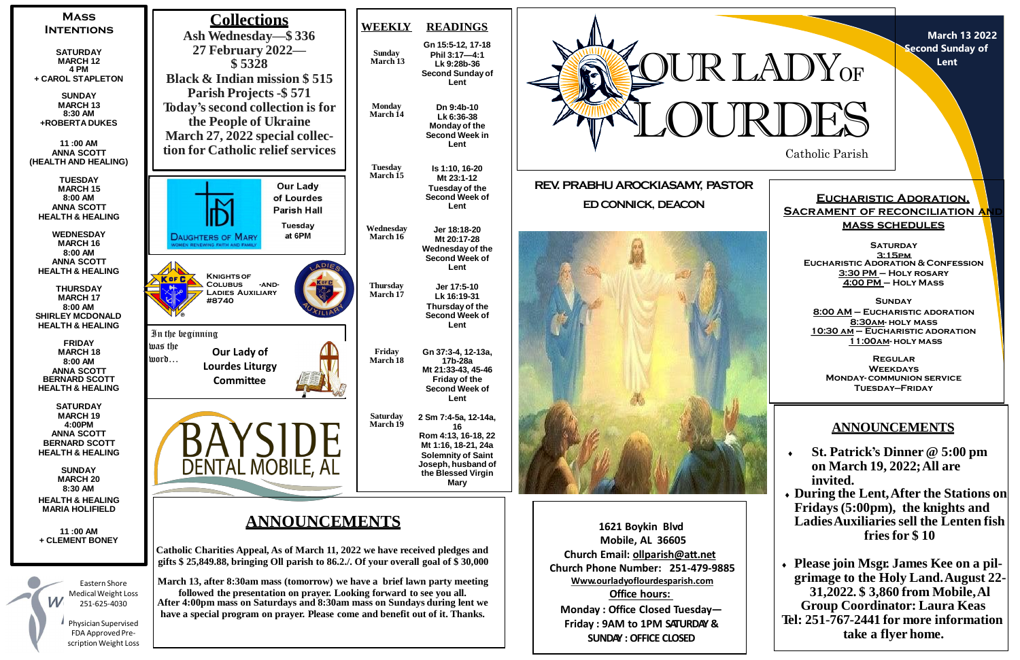

**March 13 2022 Second Sunday of Lent**



# **ANNOUNCEMENTS**

- **St. Patrick's Dinner @ 5:00 pm on March 19, 2022;All are invited.**
- **During the Lent,After the Stations on Fridays (5:00pm), the knights and LadiesAuxiliaries sell the Lenten fish fries for \$ 10**

 **Please join Msgr. James Kee on a pilgrimage to the Holy Land.August 22- 31,2022. \$ 3,860 from Mobile,Al Group Coordinator: Laura Keas Tel: 251-767-2441 for more information take a flyer home.**

**Eucharistic Adoration, SACRAMENT OF RECONCILIATION AN mass schedules**

**Saturday 3:15pm Eucharistic Adoration & Confession 3:30 PM – Holy rosary 4:00 PM – Holy Mass**

**Sunday 8:00 AM – Eucharistic adoration 8:30am- holy mass 10:30 am – Eucharistic adoration 11:00am- holy mass**

**Regular Weekdays Monday- communion service Tuesday—Friday**